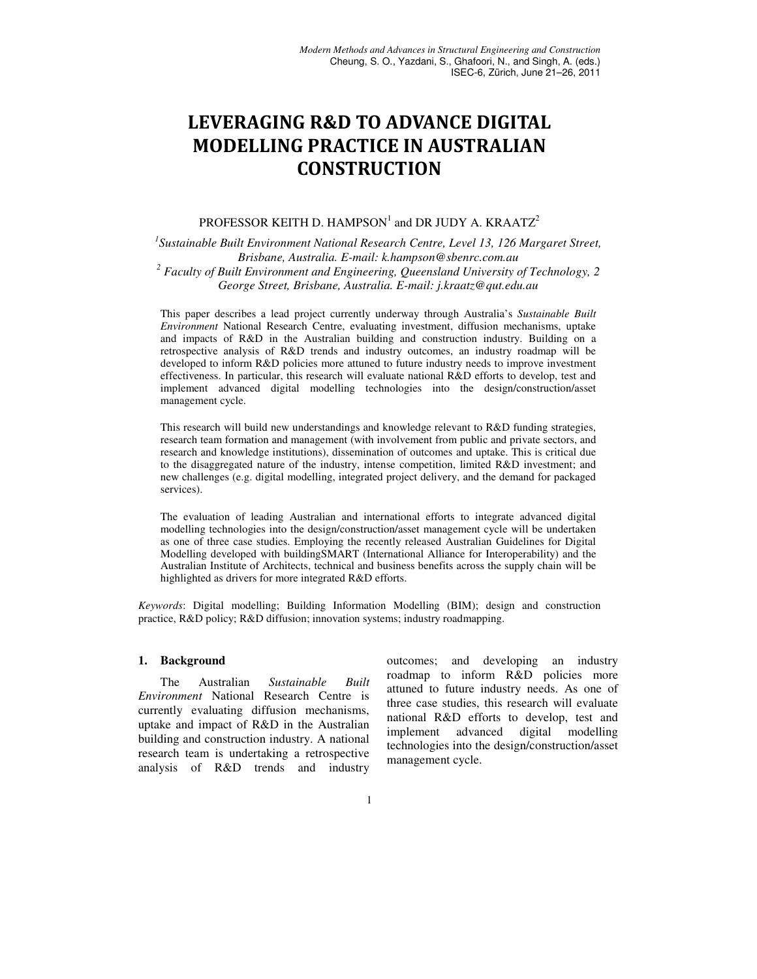# LEVERAGING R&D TO ADVANCE DIGITAL MODELLING PRACTICE IN AUSTRALIAN **CONSTRUCTION**

## PROFESSOR KEITH D. HAMPSON<sup>1</sup> and DR JUDY A. KRAATZ<sup>2</sup>

*1 Sustainable Built Environment National Research Centre, Level 13, 126 Margaret Street, Brisbane, Australia. E-mail: k.hampson@sbenrc.com.au*  <sup>2</sup> Faculty of Built Environment and Engineering, Queensland University of Technology, 2 *George Street, Brisbane, Australia. E-mail: j.kraatz@qut.edu.au*

This paper describes a lead project currently underway through Australia's *Sustainable Built Environment* National Research Centre, evaluating investment, diffusion mechanisms, uptake and impacts of R&D in the Australian building and construction industry. Building on a retrospective analysis of R&D trends and industry outcomes, an industry roadmap will be developed to inform R&D policies more attuned to future industry needs to improve investment effectiveness. In particular, this research will evaluate national R&D efforts to develop, test and implement advanced digital modelling technologies into the design/construction/asset management cycle.

This research will build new understandings and knowledge relevant to R&D funding strategies, research team formation and management (with involvement from public and private sectors, and research and knowledge institutions), dissemination of outcomes and uptake. This is critical due to the disaggregated nature of the industry, intense competition, limited R&D investment; and new challenges (e.g. digital modelling, integrated project delivery, and the demand for packaged services).

The evaluation of leading Australian and international efforts to integrate advanced digital modelling technologies into the design/construction/asset management cycle will be undertaken as one of three case studies. Employing the recently released Australian Guidelines for Digital Modelling developed with buildingSMART (International Alliance for Interoperability) and the Australian Institute of Architects, technical and business benefits across the supply chain will be highlighted as drivers for more integrated R&D efforts.

*Keywords*: Digital modelling; Building Information Modelling (BIM); design and construction practice, R&D policy; R&D diffusion; innovation systems; industry roadmapping.

#### **1. Background**

The Australian *Sustainable Built Environment* National Research Centre is currently evaluating diffusion mechanisms, uptake and impact of R&D in the Australian building and construction industry. A national research team is undertaking a retrospective analysis of R&D trends and industry outcomes; and developing an industry roadmap to inform R&D policies more attuned to future industry needs. As one of three case studies, this research will evaluate national R&D efforts to develop, test and implement advanced digital modelling technologies into the design/construction/asset management cycle.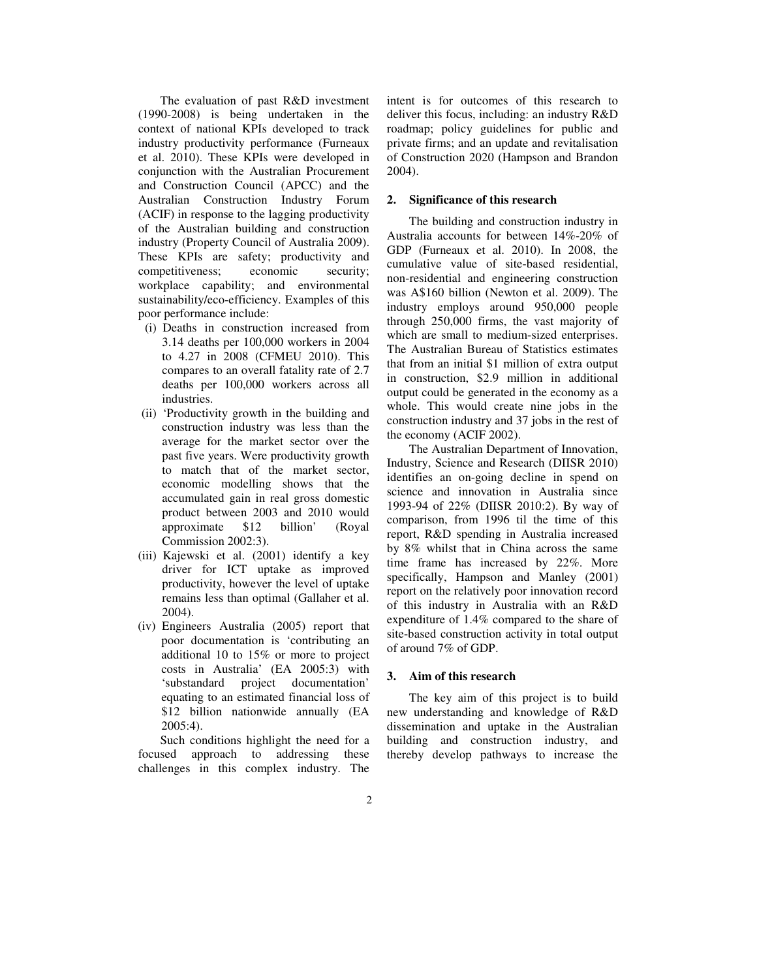The evaluation of past R&D investment (1990-2008) is being undertaken in the context of national KPIs developed to track industry productivity performance (Furneaux et al. 2010). These KPIs were developed in conjunction with the Australian Procurement and Construction Council (APCC) and the Australian Construction Industry Forum (ACIF) in response to the lagging productivity of the Australian building and construction industry (Property Council of Australia 2009). These KPIs are safety; productivity and competitiveness; economic security; workplace capability; and environmental sustainability/eco-efficiency. Examples of this poor performance include:

- (i) Deaths in construction increased from 3.14 deaths per 100,000 workers in 2004 to 4.27 in 2008 (CFMEU 2010). This compares to an overall fatality rate of 2.7 deaths per 100,000 workers across all industries.
- (ii) 'Productivity growth in the building and construction industry was less than the average for the market sector over the past five years. Were productivity growth to match that of the market sector, economic modelling shows that the accumulated gain in real gross domestic product between 2003 and 2010 would approximate \$12 billion' (Royal Commission 2002:3).
- (iii) Kajewski et al. (2001) identify a key driver for ICT uptake as improved productivity, however the level of uptake remains less than optimal (Gallaher et al. 2004).
- (iv) Engineers Australia (2005) report that poor documentation is 'contributing an additional 10 to 15% or more to project costs in Australia' (EA 2005:3) with 'substandard project documentation' equating to an estimated financial loss of \$12 billion nationwide annually (EA 2005:4).

Such conditions highlight the need for a focused approach to addressing these challenges in this complex industry. The intent is for outcomes of this research to deliver this focus, including: an industry R&D roadmap; policy guidelines for public and private firms; and an update and revitalisation of Construction 2020 (Hampson and Brandon 2004).

#### **2. Significance of this research**

The building and construction industry in Australia accounts for between 14%-20% of GDP (Furneaux et al. 2010). In 2008, the cumulative value of site-based residential, non-residential and engineering construction was A\$160 billion (Newton et al. 2009). The industry employs around 950,000 people through 250,000 firms, the vast majority of which are small to medium-sized enterprises. The Australian Bureau of Statistics estimates that from an initial \$1 million of extra output in construction, \$2.9 million in additional output could be generated in the economy as a whole. This would create nine jobs in the construction industry and 37 jobs in the rest of the economy (ACIF 2002).

The Australian Department of Innovation, Industry, Science and Research (DIISR 2010) identifies an on-going decline in spend on science and innovation in Australia since 1993-94 of 22% (DIISR 2010:2). By way of comparison, from 1996 til the time of this report, R&D spending in Australia increased by 8% whilst that in China across the same time frame has increased by 22%. More specifically, Hampson and Manley (2001) report on the relatively poor innovation record of this industry in Australia with an R&D expenditure of 1.4% compared to the share of site-based construction activity in total output of around 7% of GDP.

#### **3. Aim of this research**

The key aim of this project is to build new understanding and knowledge of R&D dissemination and uptake in the Australian building and construction industry, and thereby develop pathways to increase the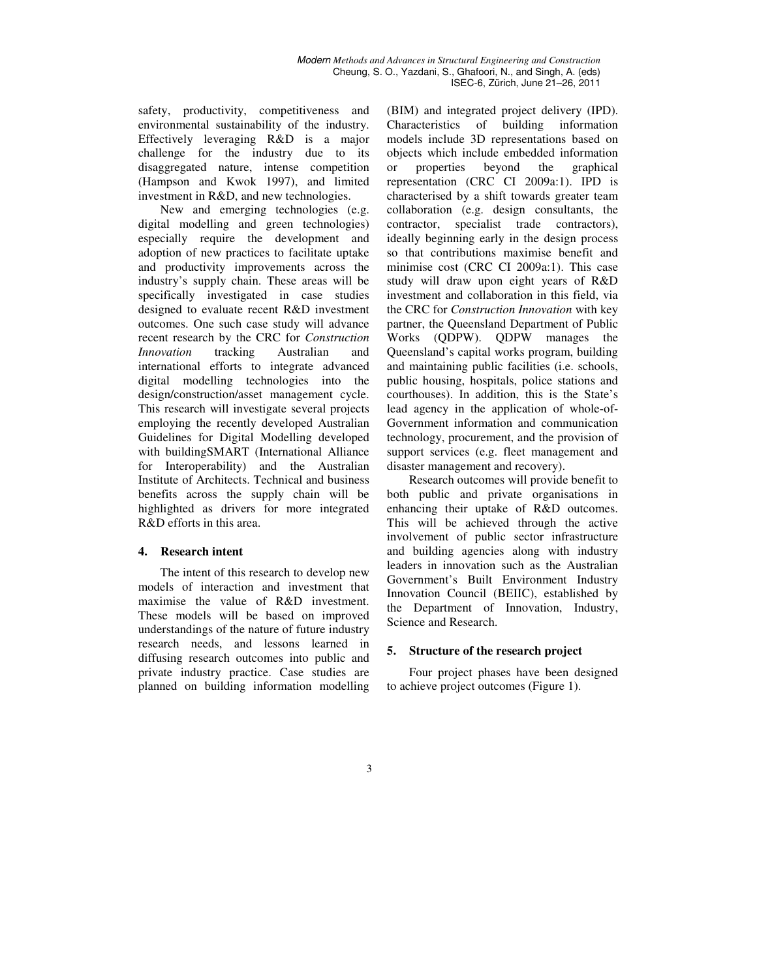safety, productivity, competitiveness and environmental sustainability of the industry. Effectively leveraging R&D is a major challenge for the industry due to its disaggregated nature, intense competition (Hampson and Kwok 1997), and limited investment in R&D, and new technologies.

New and emerging technologies (e.g. digital modelling and green technologies) especially require the development and adoption of new practices to facilitate uptake and productivity improvements across the industry's supply chain. These areas will be specifically investigated in case studies designed to evaluate recent R&D investment outcomes. One such case study will advance recent research by the CRC for *Construction Innovation* tracking Australian and international efforts to integrate advanced digital modelling technologies into the design/construction/asset management cycle. This research will investigate several projects employing the recently developed Australian Guidelines for Digital Modelling developed with buildingSMART (International Alliance for Interoperability) and the Australian Institute of Architects. Technical and business benefits across the supply chain will be highlighted as drivers for more integrated R&D efforts in this area.

### **4. Research intent**

The intent of this research to develop new models of interaction and investment that maximise the value of R&D investment. These models will be based on improved understandings of the nature of future industry research needs, and lessons learned in diffusing research outcomes into public and private industry practice. Case studies are planned on building information modelling (BIM) and integrated project delivery (IPD). Characteristics of building information models include 3D representations based on objects which include embedded information or properties beyond the graphical representation (CRC CI 2009a:1). IPD is characterised by a shift towards greater team collaboration (e.g. design consultants, the contractor, specialist trade contractors), ideally beginning early in the design process so that contributions maximise benefit and minimise cost (CRC CI 2009a:1). This case study will draw upon eight years of R&D investment and collaboration in this field, via the CRC for *Construction Innovation* with key partner, the Queensland Department of Public Works (QDPW). QDPW manages the Queensland's capital works program, building and maintaining public facilities (i.e. schools, public housing, hospitals, police stations and courthouses). In addition, this is the State's lead agency in the application of whole-of-Government information and communication technology, procurement, and the provision of support services (e.g. fleet management and disaster management and recovery).

Research outcomes will provide benefit to both public and private organisations in enhancing their uptake of R&D outcomes. This will be achieved through the active involvement of public sector infrastructure and building agencies along with industry leaders in innovation such as the Australian Government's Built Environment Industry Innovation Council (BEIIC), established by the Department of Innovation, Industry, Science and Research.

### **5. Structure of the research project**

Four project phases have been designed to achieve project outcomes (Figure 1).

## 3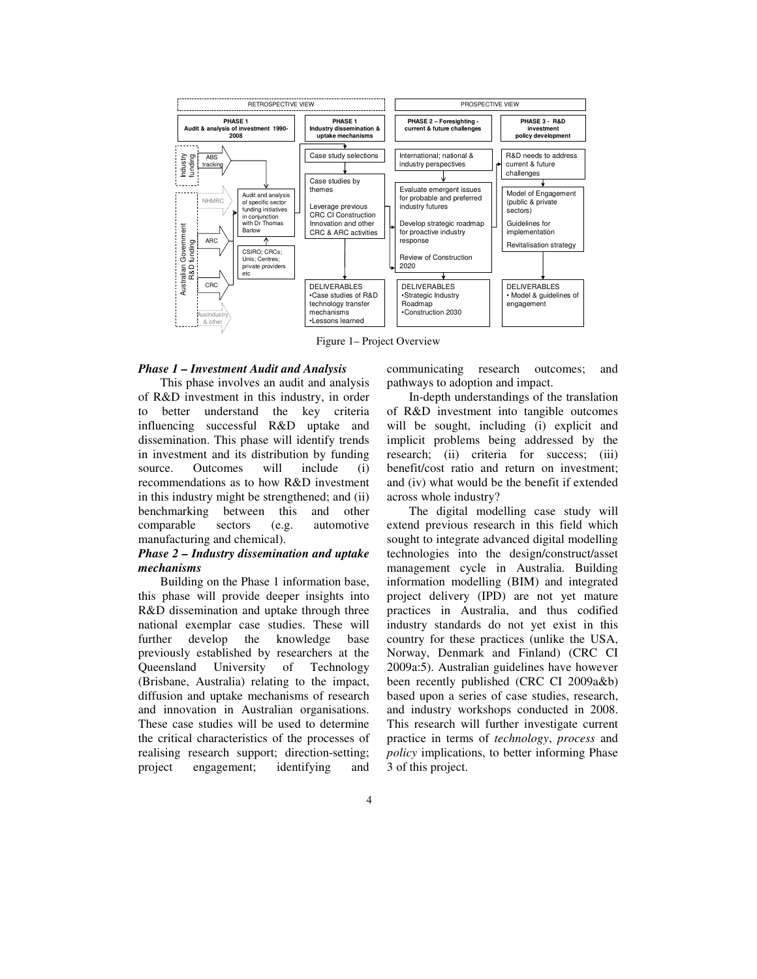

Figure 1– Project Overview

#### *Phase 1 – Investment Audit and Analysis*

This phase involves an audit and analysis of R&D investment in this industry, in order to better understand the key criteria influencing successful R&D uptake and dissemination. This phase will identify trends in investment and its distribution by funding source. Outcomes will include (i) recommendations as to how R&D investment in this industry might be strengthened; and (ii) benchmarking between this and other comparable sectors (e.g. automotive manufacturing and chemical).

#### *Phase 2 – Industry dissemination and uptake mechanisms*

Building on the Phase 1 information base, this phase will provide deeper insights into R&D dissemination and uptake through three national exemplar case studies. These will further develop the knowledge base previously established by researchers at the Queensland University of Technology (Brisbane, Australia) relating to the impact, diffusion and uptake mechanisms of research and innovation in Australian organisations. These case studies will be used to determine the critical characteristics of the processes of realising research support; direction-setting; project engagement; identifying and communicating research outcomes; and pathways to adoption and impact.

In-depth understandings of the translation of R&D investment into tangible outcomes will be sought, including (i) explicit and implicit problems being addressed by the research; (ii) criteria for success; (iii) benefit/cost ratio and return on investment; and (iv) what would be the benefit if extended across whole industry?

The digital modelling case study will extend previous research in this field which sought to integrate advanced digital modelling technologies into the design/construct/asset management cycle in Australia. Building information modelling (BIM) and integrated project delivery (IPD) are not yet mature practices in Australia, and thus codified industry standards do not yet exist in this country for these practices (unlike the USA, Norway, Denmark and Finland) (CRC CI 2009a:5). Australian guidelines have however been recently published (CRC CI 2009a&b) based upon a series of case studies, research, and industry workshops conducted in 2008. This research will further investigate current practice in terms of *technology*, *process* and *policy* implications, to better informing Phase 3 of this project.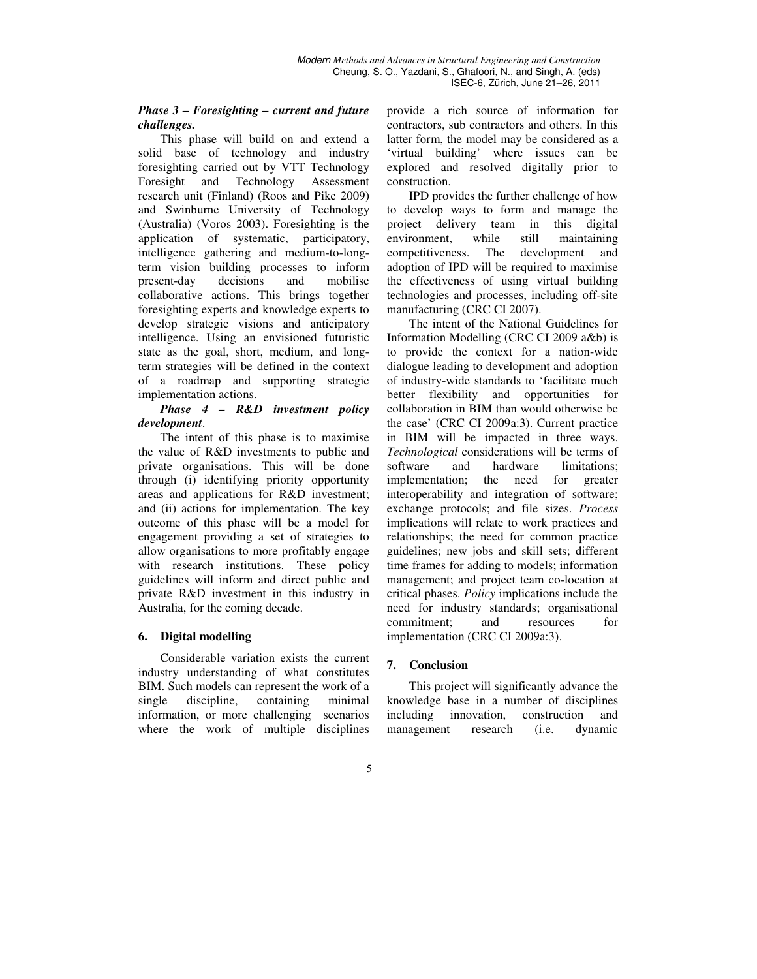### *Phase 3 – Foresighting – current and future challenges.*

This phase will build on and extend a solid base of technology and industry foresighting carried out by VTT Technology Foresight and Technology Assessment research unit (Finland) (Roos and Pike 2009) and Swinburne University of Technology (Australia) (Voros 2003). Foresighting is the application of systematic, participatory, intelligence gathering and medium-to-longterm vision building processes to inform present-day decisions and mobilise collaborative actions. This brings together foresighting experts and knowledge experts to develop strategic visions and anticipatory intelligence. Using an envisioned futuristic state as the goal, short, medium, and longterm strategies will be defined in the context of a roadmap and supporting strategic implementation actions.

## *Phase 4 – R&D investment policy development*.

The intent of this phase is to maximise the value of R&D investments to public and private organisations. This will be done through (i) identifying priority opportunity areas and applications for R&D investment; and (ii) actions for implementation. The key outcome of this phase will be a model for engagement providing a set of strategies to allow organisations to more profitably engage with research institutions. These policy guidelines will inform and direct public and private R&D investment in this industry in Australia, for the coming decade.

## **6. Digital modelling**

Considerable variation exists the current industry understanding of what constitutes BIM. Such models can represent the work of a single discipline, containing minimal information, or more challenging scenarios where the work of multiple disciplines provide a rich source of information for contractors, sub contractors and others. In this latter form, the model may be considered as a 'virtual building' where issues can be explored and resolved digitally prior to construction.

IPD provides the further challenge of how to develop ways to form and manage the project delivery team in this digital environment, while still maintaining competitiveness. The development and adoption of IPD will be required to maximise the effectiveness of using virtual building technologies and processes, including off-site manufacturing (CRC CI 2007).

The intent of the National Guidelines for Information Modelling (CRC CI 2009 a&b) is to provide the context for a nation-wide dialogue leading to development and adoption of industry-wide standards to 'facilitate much better flexibility and opportunities for collaboration in BIM than would otherwise be the case' (CRC CI 2009a:3). Current practice in BIM will be impacted in three ways. *Technological* considerations will be terms of software and hardware limitations; implementation; the need for greater interoperability and integration of software; exchange protocols; and file sizes. *Process* implications will relate to work practices and relationships; the need for common practice guidelines; new jobs and skill sets; different time frames for adding to models; information management; and project team co-location at critical phases. *Policy* implications include the need for industry standards; organisational commitment; and resources for implementation (CRC CI 2009a:3).

## **7. Conclusion**

This project will significantly advance the knowledge base in a number of disciplines including innovation, construction and management research (i.e. dynamic

## 5